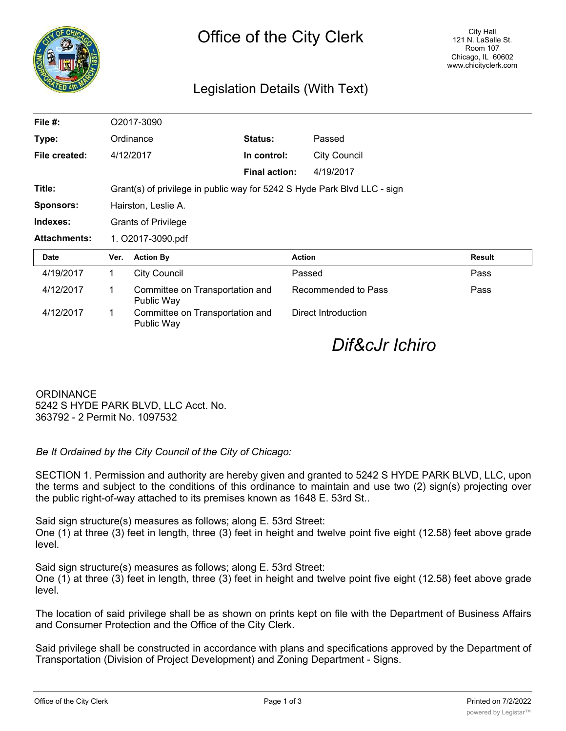

## Legislation Details (With Text)

| File $#$ :          | O2017-3090                                                               |                                               |                      |                     |        |
|---------------------|--------------------------------------------------------------------------|-----------------------------------------------|----------------------|---------------------|--------|
| Type:               |                                                                          | Ordinance                                     | <b>Status:</b>       | Passed              |        |
| File created:       |                                                                          | 4/12/2017                                     | In control:          | <b>City Council</b> |        |
|                     |                                                                          |                                               | <b>Final action:</b> | 4/19/2017           |        |
| Title:              | Grant(s) of privilege in public way for 5242 S Hyde Park Blvd LLC - sign |                                               |                      |                     |        |
| <b>Sponsors:</b>    | Hairston, Leslie A.                                                      |                                               |                      |                     |        |
| Indexes:            | <b>Grants of Privilege</b>                                               |                                               |                      |                     |        |
| <b>Attachments:</b> | 1. O2017-3090.pdf                                                        |                                               |                      |                     |        |
| <b>Date</b>         | Ver.                                                                     | <b>Action By</b>                              |                      | <b>Action</b>       | Result |
| 4/19/2017           | 1                                                                        | <b>City Council</b>                           |                      | Passed              | Pass   |
| 4/12/2017           | 1                                                                        | Committee on Transportation and<br>Public Way |                      | Recommended to Pass | Pass   |
| 4/12/2017           | 1                                                                        | Committee on Transportation and<br>Public Way |                      | Direct Introduction |        |

*Dif&cJr Ichiro*

**ORDINANCE** 5242 S HYDE PARK BLVD, LLC Acct. No. 363792 - 2 Permit No. 1097532

*Be It Ordained by the City Council of the City of Chicago:*

SECTION 1. Permission and authority are hereby given and granted to 5242 S HYDE PARK BLVD, LLC, upon the terms and subject to the conditions of this ordinance to maintain and use two (2) sign(s) projecting over the public right-of-way attached to its premises known as 1648 E. 53rd St..

Said sign structure(s) measures as follows; along E. 53rd Street:

One (1) at three (3) feet in length, three (3) feet in height and twelve point five eight (12.58) feet above grade level.

Said sign structure(s) measures as follows; along E. 53rd Street: One (1) at three (3) feet in length, three (3) feet in height and twelve point five eight (12.58) feet above grade level.

The location of said privilege shall be as shown on prints kept on file with the Department of Business Affairs and Consumer Protection and the Office of the City Clerk.

Said privilege shall be constructed in accordance with plans and specifications approved by the Department of Transportation (Division of Project Development) and Zoning Department - Signs.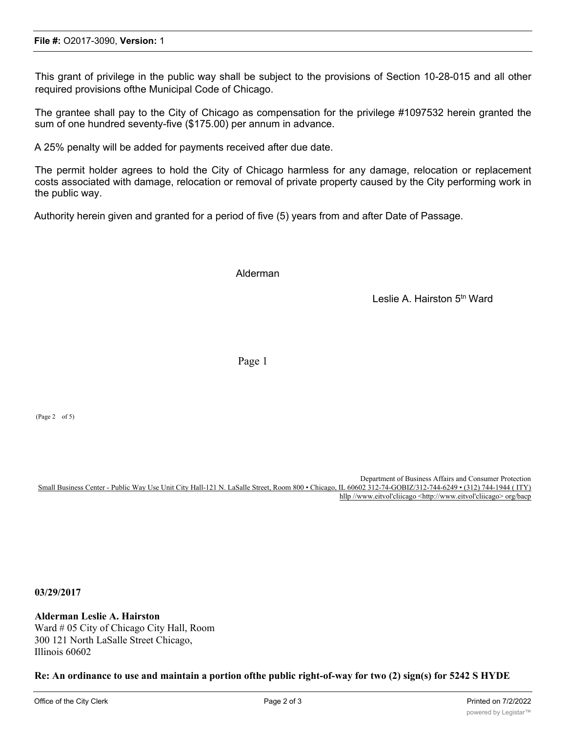This grant of privilege in the public way shall be subject to the provisions of Section 10-28-015 and all other required provisions ofthe Municipal Code of Chicago.

The grantee shall pay to the City of Chicago as compensation for the privilege #1097532 herein granted the sum of one hundred seventy-five (\$175.00) per annum in advance.

A 25% penalty will be added for payments received after due date.

The permit holder agrees to hold the City of Chicago harmless for any damage, relocation or replacement costs associated with damage, relocation or removal of private property caused by the City performing work in the public way.

Authority herein given and granted for a period of five (5) years from and after Date of Passage.

Alderman

Leslie A. Hairston 5th Ward

Page 1

(Page 2 of 5)

Department of Business Affairs and Consumer Protection<br>IL 60602 312-74-GOBIZ/312-744-6249 • (312) 744-1944 ( ITY) Small Business Center - Public Way Use Unit City Hall-121 N. LaSalle Street, Room 800 • Chicago, hllp //www.eitvol'cliicago <http://www.eitvol'cliicago> org/bacp

**03/29/2017**

**Alderman Leslie A. Hairston** Ward # 05 City of Chicago City Hall, Room 300 121 North LaSalle Street Chicago, Illinois 60602

**Re: An ordinance to use and maintain a portion ofthe public right-of-way for two (2) sign(s) for 5242 S HYDE**